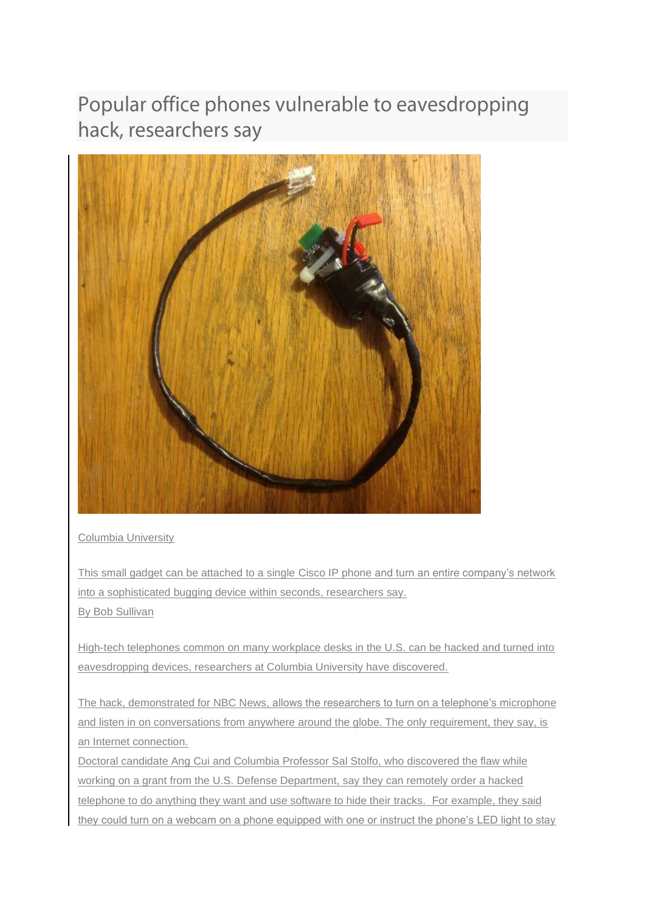Popular office phones vulnerable to eavesdropping hack, researchers say



Columbia University

This small gadget can be attached to a single Cisco IP phone and turn an entire company's network into a sophisticated bugging device within seconds, researchers say. By Bob Sullivan

High-tech telephones common on many workplace desks in the U.S. can be hacked and turned into eavesdropping devices, researchers at Columbia University have discovered.

The hack, demonstrated for NBC News, allows the researchers to turn on a telephone's microphone and listen in on conversations from anywhere around the globe. The only requirement, they say, is an Internet connection.

Doctoral candidate Ang Cui and Columbia Professor Sal Stolfo, who discovered the flaw while working on a grant from the U.S. Defense Department, say they can remotely order a hacked telephone to do anything they want and use software to hide their tracks. For example, they said they could turn on a webcam on a phone equipped with one or instruct the phone's LED light to stay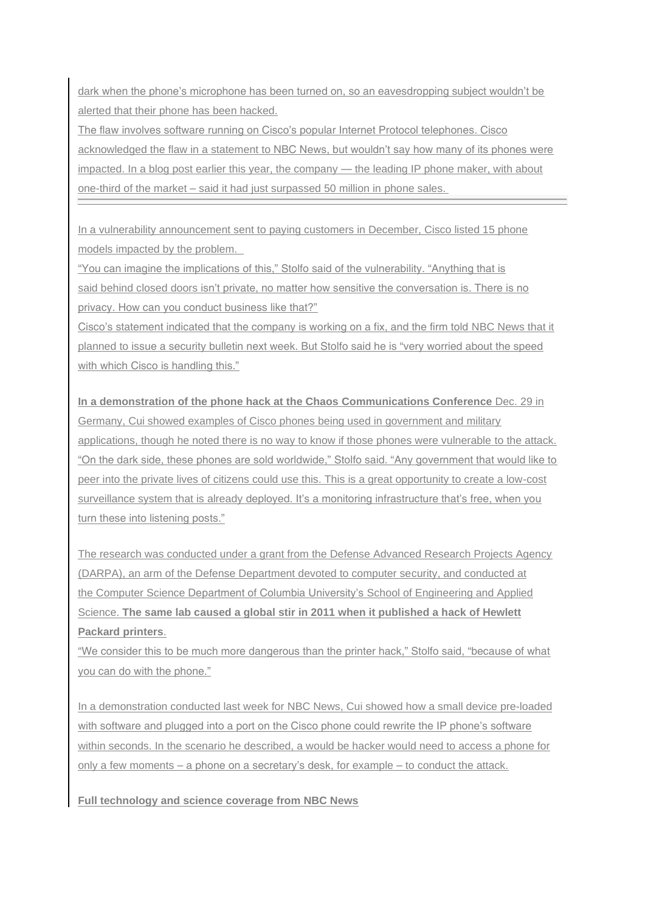dark when the phone's microphone has been turned on, so an eavesdropping subject wouldn't be alerted that their phone has been hacked.

The flaw involves software running on Cisco's popular Internet Protocol telephones. Cisco acknowledged the flaw in a statement to NBC News, but wouldn't say how many of its phones were impacted. In a blog post earlier this year, the company — the leading IP phone maker, with about one-third of the market – said it had just surpassed 50 million in phone sales.

In a vulnerability announcement sent to paying customers in December, Cisco listed 15 phone models impacted by the problem.

"You can imagine the implications of this," Stolfo said of the vulnerability. "Anything that is said behind closed doors isn't private, no matter how sensitive the conversation is. There is no privacy. How can you conduct business like that?"

Cisco's statement indicated that the company is working on a fix, and the firm told NBC News that it planned to issue a security bulletin next week. But Stolfo said he is "very worried about the speed with which Cisco is handling this."

**In a demonstration of the phone hack at the Chaos [Communications](http://www.youtube.com/watch?v=f3zUOZcewtA) Conference** Dec. 29 in Germany, Cui showed examples of Cisco phones being used in government and military applications, though he noted there is no way to know if those phones were vulnerable to the attack. "On the dark side, these phones are sold worldwide," Stolfo said. "Any government that would like to peer into the private lives of citizens could use this. This is a great opportunity to create a low-cost surveillance system that is already deployed. It's a monitoring infrastructure that's free, when you turn these into listening posts."

The research was conducted under a grant from the Defense Advanced Research Projects Agency (DARPA), an arm of the Defense Department devoted to computer security, and conducted at the Computer Science Department of Columbia University's School of Engineering and Applied Science. **The same lab caused a global stir in 2011 when it [published](http://redtape.nbcnews.com/_news/2011/11/29/9076395-exclusive-millions-of-printers-open-to-devastating-hack-attack-researchers-say?lite) a hack of Hewlett [Packard](http://redtape.nbcnews.com/_news/2011/11/29/9076395-exclusive-millions-of-printers-open-to-devastating-hack-attack-researchers-say?lite) printers**.

"We consider this to be much more dangerous than the printer hack," Stolfo said, "because of what you can do with the phone."

In a demonstration conducted last week for NBC News, Cui showed how a small device pre-loaded with software and plugged into a port on the Cisco phone could rewrite the IP phone's software within seconds. In the scenario he described, a would be hacker would need to access a phone for only a few moments – a phone on a secretary's desk, for example – to conduct the attack.

**Full [technology](http://www.msnbc.msn.com/id/3032118/ns/technology_and_science/) and science coverage from NBC News**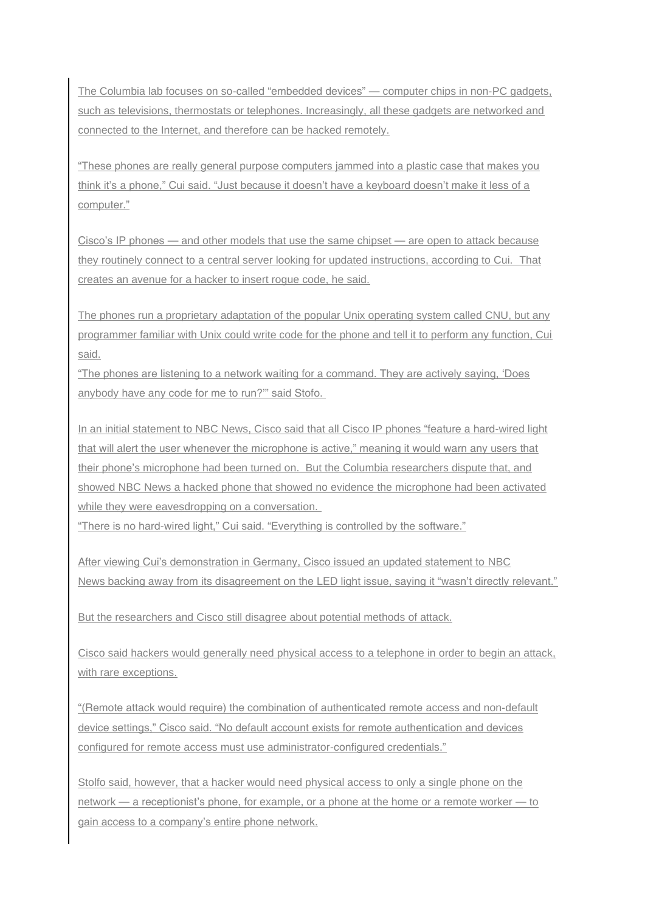The Columbia lab focuses on so-called "embedded devices" — computer chips in non-PC gadgets, such as televisions, thermostats or telephones. Increasingly, all these gadgets are networked and connected to the Internet, and therefore can be hacked remotely.

"These phones are really general purpose computers jammed into a plastic case that makes you think it's a phone," Cui said. "Just because it doesn't have a keyboard doesn't make it less of a computer."

Cisco's IP phones — and other models that use the same chipset — are open to attack because they routinely connect to a central server looking for updated instructions, according to Cui. That creates an avenue for a hacker to insert rogue code, he said.

The phones run a proprietary adaptation of the popular Unix operating system called CNU, but any programmer familiar with Unix could write code for the phone and tell it to perform any function, Cui said.

"The phones are listening to a network waiting for a command. They are actively saying, 'Does anybody have any code for me to run?'" said Stofo.

In an initial statement to NBC News, Cisco said that all Cisco IP phones "feature a hard-wired light that will alert the user whenever the microphone is active," meaning it would warn any users that their phone's microphone had been turned on. But the Columbia researchers dispute that, and showed NBC News a hacked phone that showed no evidence the microphone had been activated while they were eavesdropping on a conversation.

"There is no hard-wired light," Cui said. "Everything is controlled by the software."

After viewing Cui's demonstration in Germany, Cisco issued an updated statement to NBC News backing away from its disagreement on the LED light issue, saying it "wasn't directly relevant."

But the researchers and Cisco still disagree about potential methods of attack.

Cisco said hackers would generally need physical access to a telephone in order to begin an attack, with rare exceptions.

"(Remote attack would require) the combination of authenticated remote access and non-default device settings," Cisco said. "No default account exists for remote authentication and devices configured for remote access must use administrator-configured credentials."

Stolfo said, however, that a hacker would need physical access to only a single phone on the network — a receptionist's phone, for example, or a phone at the home or a remote worker — to gain access to a company's entire phone network.